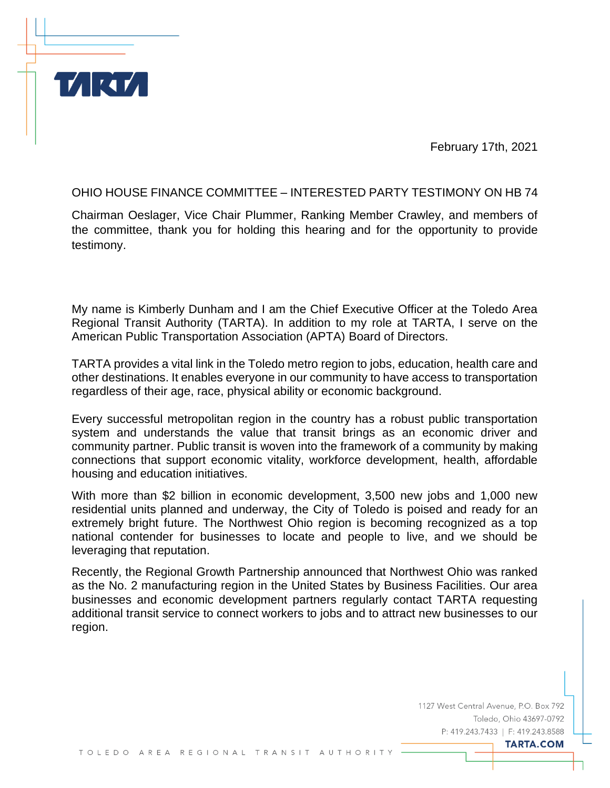February 17th, 2021

OHIO HOUSE FINANCE COMMITTEE – INTERESTED PARTY TESTIMONY ON HB 74

**MRT** 

Chairman Oeslager, Vice Chair Plummer, Ranking Member Crawley, and members of the committee, thank you for holding this hearing and for the opportunity to provide testimony.

My name is Kimberly Dunham and I am the Chief Executive Officer at the Toledo Area Regional Transit Authority (TARTA). In addition to my role at TARTA, I serve on the American Public Transportation Association (APTA) Board of Directors.

TARTA provides a vital link in the Toledo metro region to jobs, education, health care and other destinations. It enables everyone in our community to have access to transportation regardless of their age, race, physical ability or economic background.

Every successful metropolitan region in the country has a robust public transportation system and understands the value that transit brings as an economic driver and community partner. Public transit is woven into the framework of a community by making connections that support economic vitality, workforce development, health, affordable housing and education initiatives.

With more than \$2 billion in economic development, 3,500 new jobs and 1,000 new residential units planned and underway, the City of Toledo is poised and ready for an extremely bright future. The Northwest Ohio region is becoming recognized as a top national contender for businesses to locate and people to live, and we should be leveraging that reputation.

Recently, the Regional Growth Partnership announced that Northwest Ohio was ranked as the No. 2 manufacturing region in the United States by Business Facilities. Our area businesses and economic development partners regularly contact TARTA requesting additional transit service to connect workers to jobs and to attract new businesses to our region.

> 1127 West Central Avenue, P.O. Box 792 Toledo, Ohio 43697-0792 P: 419.243.7433 | F: 419.243.8588

> > **TARTA.COM**